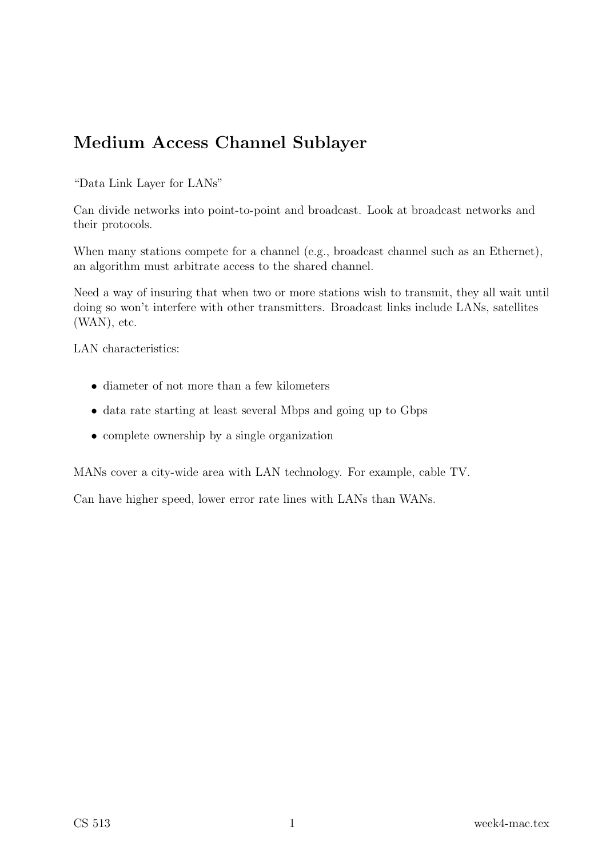# Medium Access Channel Sublayer

"Data Link Layer for LANs"

Can divide networks into point-to-point and broadcast. Look at broadcast networks and their protocols.

When many stations compete for a channel (e.g., broadcast channel such as an Ethernet), an algorithm must arbitrate access to the shared channel.

Need a way of insuring that when two or more stations wish to transmit, they all wait until doing so won't interfere with other transmitters. Broadcast links include LANs, satellites (WAN), etc.

LAN characteristics:

- diameter of not more than a few kilometers
- data rate starting at least several Mbps and going up to Gbps
- complete ownership by a single organization

MANs cover a city-wide area with LAN technology. For example, cable TV.

Can have higher speed, lower error rate lines with LANs than WANs.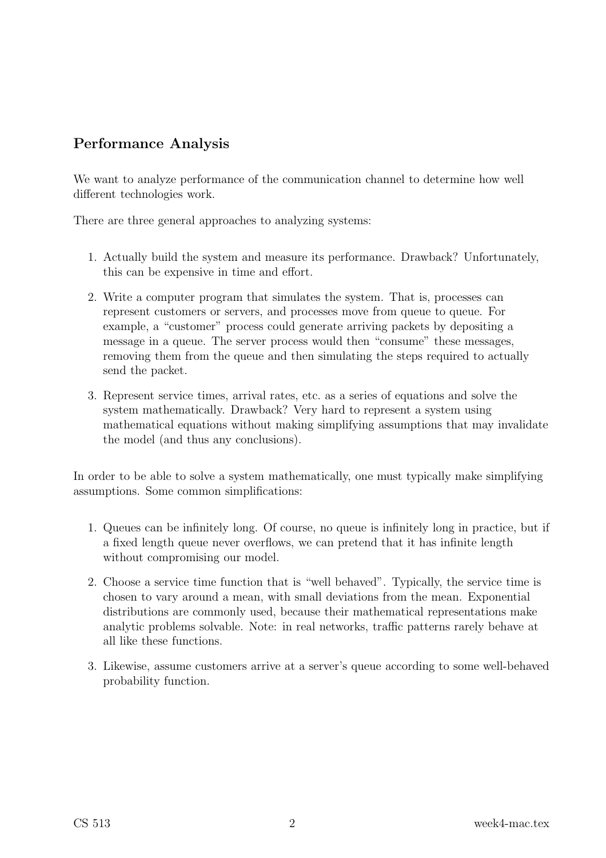# Performance Analysis

We want to analyze performance of the communication channel to determine how well different technologies work.

There are three general approaches to analyzing systems:

- 1. Actually build the system and measure its performance. Drawback? Unfortunately, this can be expensive in time and effort.
- 2. Write a computer program that simulates the system. That is, processes can represent customers or servers, and processes move from queue to queue. For example, a "customer" process could generate arriving packets by depositing a message in a queue. The server process would then "consume" these messages, removing them from the queue and then simulating the steps required to actually send the packet.
- 3. Represent service times, arrival rates, etc. as a series of equations and solve the system mathematically. Drawback? Very hard to represent a system using mathematical equations without making simplifying assumptions that may invalidate the model (and thus any conclusions).

In order to be able to solve a system mathematically, one must typically make simplifying assumptions. Some common simplifications:

- 1. Queues can be infinitely long. Of course, no queue is infinitely long in practice, but if a fixed length queue never overflows, we can pretend that it has infinite length without compromising our model.
- 2. Choose a service time function that is "well behaved". Typically, the service time is chosen to vary around a mean, with small deviations from the mean. Exponential distributions are commonly used, because their mathematical representations make analytic problems solvable. Note: in real networks, traffic patterns rarely behave at all like these functions.
- 3. Likewise, assume customers arrive at a server's queue according to some well-behaved probability function.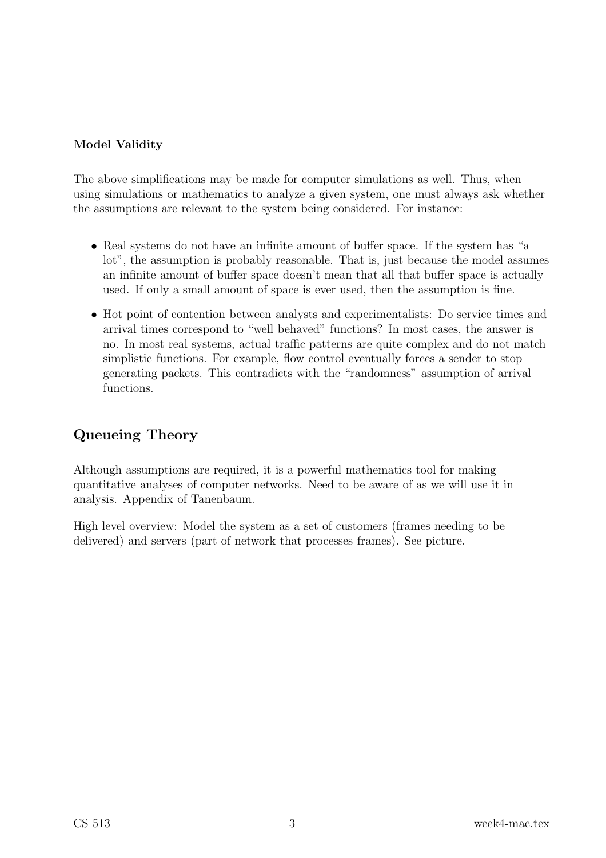#### Model Validity

The above simplifications may be made for computer simulations as well. Thus, when using simulations or mathematics to analyze a given system, one must always ask whether the assumptions are relevant to the system being considered. For instance:

- Real systems do not have an infinite amount of buffer space. If the system has "a lot", the assumption is probably reasonable. That is, just because the model assumes an infinite amount of buffer space doesn't mean that all that buffer space is actually used. If only a small amount of space is ever used, then the assumption is fine.
- Hot point of contention between analysts and experimentalists: Do service times and arrival times correspond to "well behaved" functions? In most cases, the answer is no. In most real systems, actual traffic patterns are quite complex and do not match simplistic functions. For example, flow control eventually forces a sender to stop generating packets. This contradicts with the "randomness" assumption of arrival functions.

# Queueing Theory

Although assumptions are required, it is a powerful mathematics tool for making quantitative analyses of computer networks. Need to be aware of as we will use it in analysis. Appendix of Tanenbaum.

High level overview: Model the system as a set of customers (frames needing to be delivered) and servers (part of network that processes frames). See picture.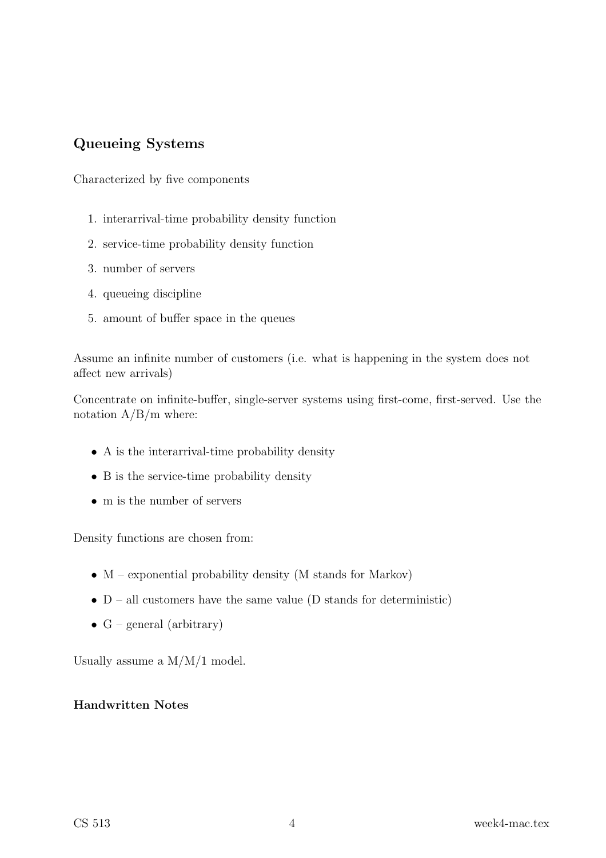## Queueing Systems

Characterized by five components

- 1. interarrival-time probability density function
- 2. service-time probability density function
- 3. number of servers
- 4. queueing discipline
- 5. amount of buffer space in the queues

Assume an infinite number of customers (i.e. what is happening in the system does not affect new arrivals)

Concentrate on infinite-buffer, single-server systems using first-come, first-served. Use the notation  $A/B/m$  where:

- A is the interarrival-time probability density
- B is the service-time probability density
- m is the number of servers

Density functions are chosen from:

- $\bullet$  M exponential probability density (M stands for Markov)
- $D all customers have the same value (D stands for deterministic)$
- $G$  general (arbitrary)

Usually assume a M/M/1 model.

#### Handwritten Notes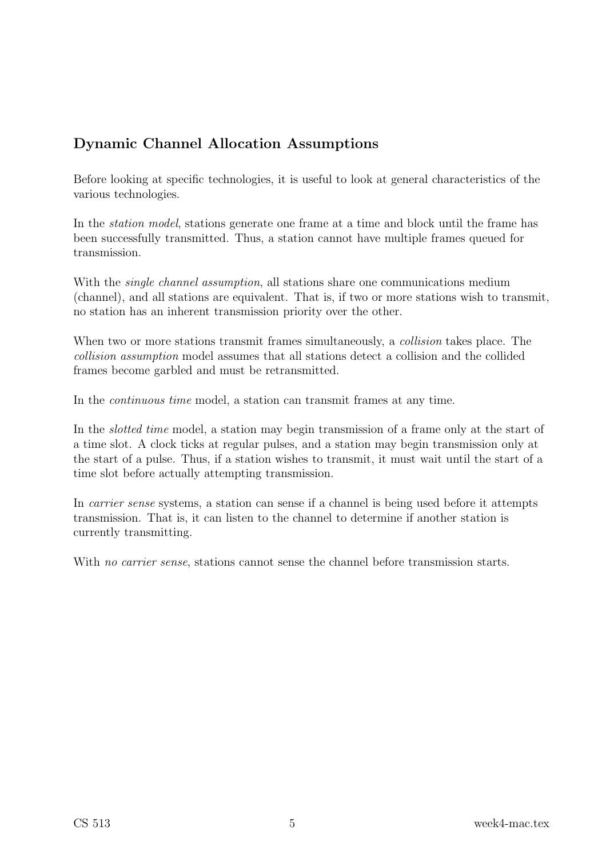# Dynamic Channel Allocation Assumptions

Before looking at specific technologies, it is useful to look at general characteristics of the various technologies.

In the *station model*, stations generate one frame at a time and block until the frame has been successfully transmitted. Thus, a station cannot have multiple frames queued for transmission.

With the *single channel assumption*, all stations share one communications medium (channel), and all stations are equivalent. That is, if two or more stations wish to transmit, no station has an inherent transmission priority over the other.

When two or more stations transmit frames simultaneously, a *collision* takes place. The collision assumption model assumes that all stations detect a collision and the collided frames become garbled and must be retransmitted.

In the continuous time model, a station can transmit frames at any time.

In the slotted time model, a station may begin transmission of a frame only at the start of a time slot. A clock ticks at regular pulses, and a station may begin transmission only at the start of a pulse. Thus, if a station wishes to transmit, it must wait until the start of a time slot before actually attempting transmission.

In carrier sense systems, a station can sense if a channel is being used before it attempts transmission. That is, it can listen to the channel to determine if another station is currently transmitting.

With no carrier sense, stations cannot sense the channel before transmission starts.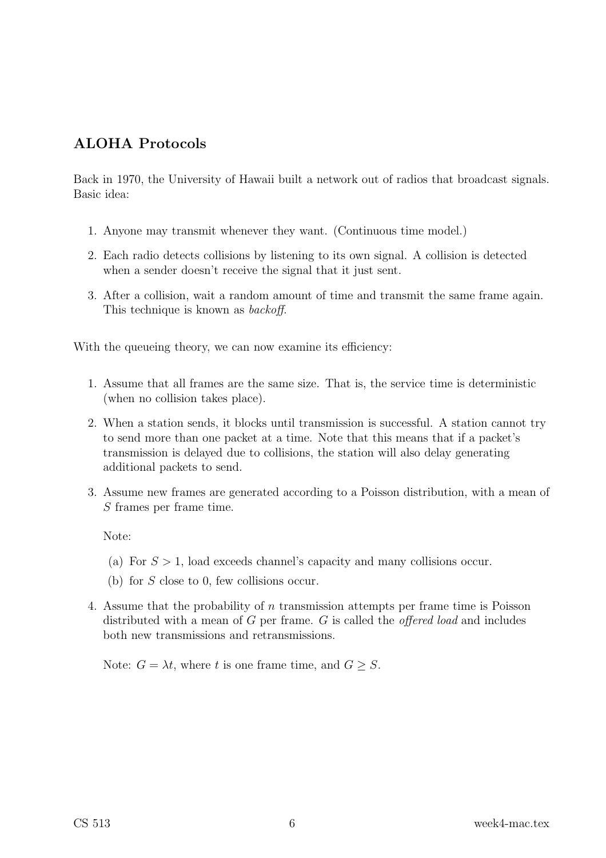### ALOHA Protocols

Back in 1970, the University of Hawaii built a network out of radios that broadcast signals. Basic idea:

- 1. Anyone may transmit whenever they want. (Continuous time model.)
- 2. Each radio detects collisions by listening to its own signal. A collision is detected when a sender doesn't receive the signal that it just sent.
- 3. After a collision, wait a random amount of time and transmit the same frame again. This technique is known as backoff.

With the queueing theory, we can now examine its efficiency:

- 1. Assume that all frames are the same size. That is, the service time is deterministic (when no collision takes place).
- 2. When a station sends, it blocks until transmission is successful. A station cannot try to send more than one packet at a time. Note that this means that if a packet's transmission is delayed due to collisions, the station will also delay generating additional packets to send.
- 3. Assume new frames are generated according to a Poisson distribution, with a mean of S frames per frame time.

Note:

- (a) For  $S > 1$ , load exceeds channel's capacity and many collisions occur.
- (b) for S close to 0, few collisions occur.
- 4. Assume that the probability of n transmission attempts per frame time is Poisson distributed with a mean of  $G$  per frame.  $G$  is called the *offered load* and includes both new transmissions and retransmissions.

Note:  $G = \lambda t$ , where t is one frame time, and  $G > S$ .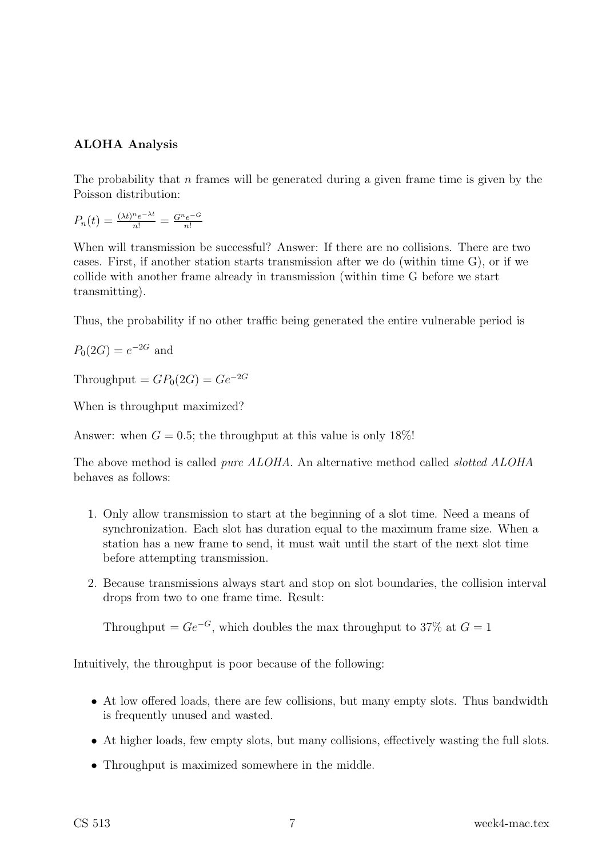#### ALOHA Analysis

The probability that  $n$  frames will be generated during a given frame time is given by the Poisson distribution:

$$
P_n(t) = \frac{(\lambda t)^n e^{-\lambda t}}{n!} = \frac{G^n e^{-G}}{n!}
$$

When will transmission be successful? Answer: If there are no collisions. There are two cases. First, if another station starts transmission after we do (within time G), or if we collide with another frame already in transmission (within time G before we start transmitting).

Thus, the probability if no other traffic being generated the entire vulnerable period is

$$
P_0(2G) = e^{-2G}
$$
 and

Throughput =  $GP_0(2G) = Ge^{-2G}$ 

When is throughput maximized?

Answer: when  $G = 0.5$ ; the throughput at this value is only 18%!

The above method is called *pure ALOHA*. An alternative method called *slotted ALOHA* behaves as follows:

- 1. Only allow transmission to start at the beginning of a slot time. Need a means of synchronization. Each slot has duration equal to the maximum frame size. When a station has a new frame to send, it must wait until the start of the next slot time before attempting transmission.
- 2. Because transmissions always start and stop on slot boundaries, the collision interval drops from two to one frame time. Result:

Throughput =  $Ge^{-G}$ , which doubles the max throughput to 37% at  $G = 1$ 

Intuitively, the throughput is poor because of the following:

- At low offered loads, there are few collisions, but many empty slots. Thus bandwidth is frequently unused and wasted.
- At higher loads, few empty slots, but many collisions, effectively wasting the full slots.
- Throughput is maximized somewhere in the middle.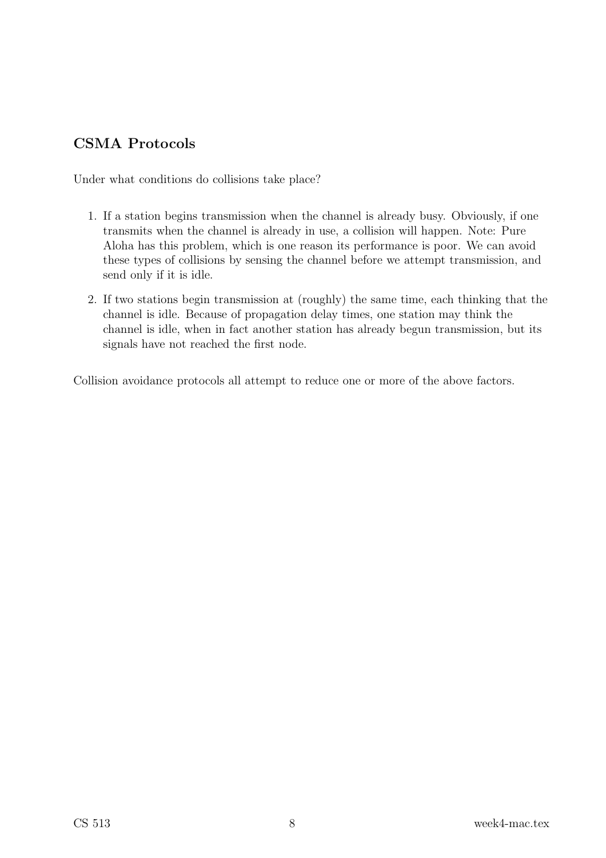# CSMA Protocols

Under what conditions do collisions take place?

- 1. If a station begins transmission when the channel is already busy. Obviously, if one transmits when the channel is already in use, a collision will happen. Note: Pure Aloha has this problem, which is one reason its performance is poor. We can avoid these types of collisions by sensing the channel before we attempt transmission, and send only if it is idle.
- 2. If two stations begin transmission at (roughly) the same time, each thinking that the channel is idle. Because of propagation delay times, one station may think the channel is idle, when in fact another station has already begun transmission, but its signals have not reached the first node.

Collision avoidance protocols all attempt to reduce one or more of the above factors.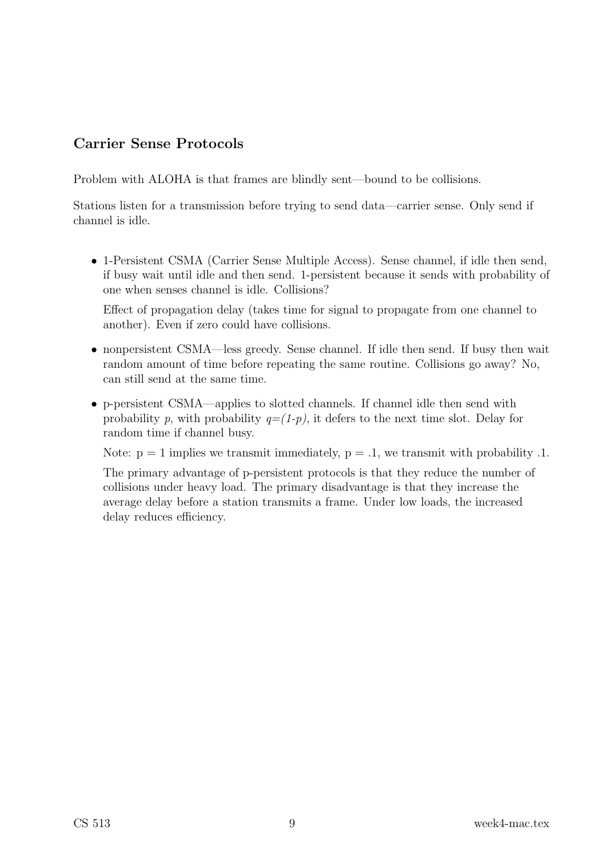### Carrier Sense Protocols

Problem with ALOHA is that frames are blindly sent—bound to be collisions.

Stations listen for a transmission before trying to send data—carrier sense. Only send if channel is idle.

• 1-Persistent CSMA (Carrier Sense Multiple Access). Sense channel, if idle then send, if busy wait until idle and then send. 1-persistent because it sends with probability of one when senses channel is idle. Collisions?

Effect of propagation delay (takes time for signal to propagate from one channel to another). Even if zero could have collisions.

- nonpersistent CSMA—less greedy. Sense channel. If idle then send. If busy then wait random amount of time before repeating the same routine. Collisions go away? No, can still send at the same time.
- p-persistent CSMA—applies to slotted channels. If channel idle then send with probability p, with probability  $q=(1-p)$ , it defers to the next time slot. Delay for random time if channel busy.

Note:  $p = 1$  implies we transmit immediately,  $p = .1$ , we transmit with probability .1.

The primary advantage of p-persistent protocols is that they reduce the number of collisions under heavy load. The primary disadvantage is that they increase the average delay before a station transmits a frame. Under low loads, the increased delay reduces efficiency.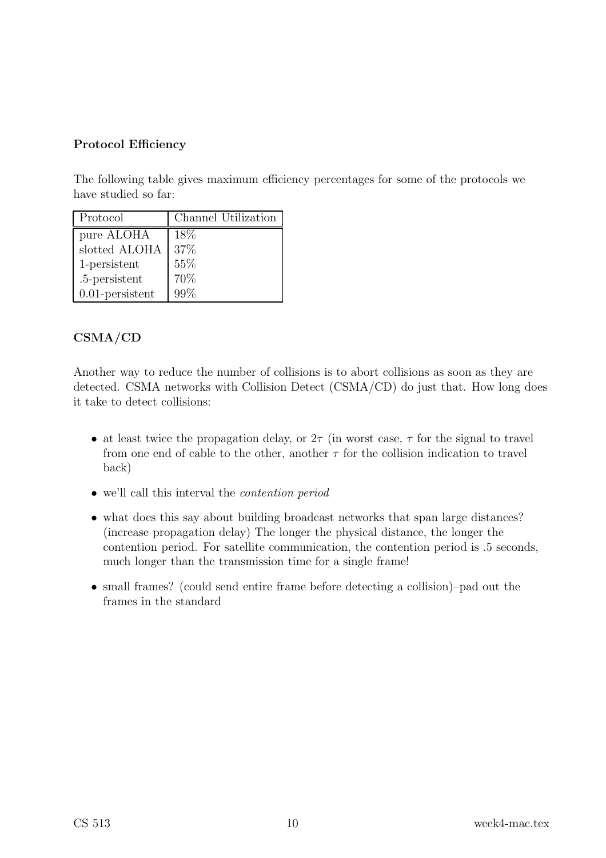#### Protocol Efficiency

The following table gives maximum efficiency percentages for some of the protocols we have studied so far:

| Protocol           | Channel Utilization |
|--------------------|---------------------|
| pure ALOHA         | 18%                 |
| slotted ALOHA      | 37%                 |
| 1-persistent       | 55%                 |
| .5-persistent      | 70%                 |
| $0.01$ -persistent | 99%                 |

### CSMA/CD

Another way to reduce the number of collisions is to abort collisions as soon as they are detected. CSMA networks with Collision Detect (CSMA/CD) do just that. How long does it take to detect collisions:

- at least twice the propagation delay, or  $2\tau$  (in worst case,  $\tau$  for the signal to travel from one end of cable to the other, another  $\tau$  for the collision indication to travel back)
- we'll call this interval the contention period
- what does this say about building broadcast networks that span large distances? (increase propagation delay) The longer the physical distance, the longer the contention period. For satellite communication, the contention period is .5 seconds, much longer than the transmission time for a single frame!
- small frames? (could send entire frame before detecting a collision)–pad out the frames in the standard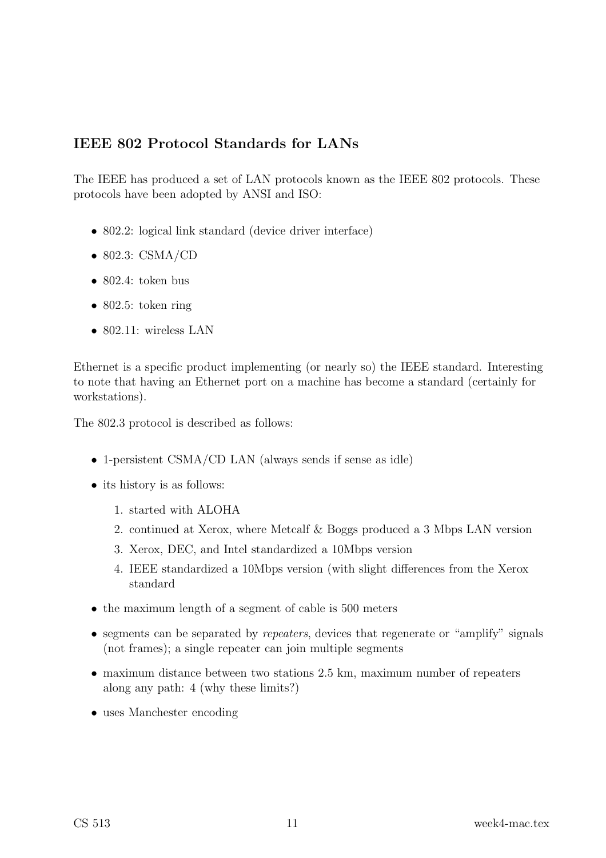### IEEE 802 Protocol Standards for LANs

The IEEE has produced a set of LAN protocols known as the IEEE 802 protocols. These protocols have been adopted by ANSI and ISO:

- 802.2: logical link standard (device driver interface)
- 802.3: CSMA/CD
- 802.4: token bus
- $\bullet$  802.5: token ring
- 802.11: wireless LAN

Ethernet is a specific product implementing (or nearly so) the IEEE standard. Interesting to note that having an Ethernet port on a machine has become a standard (certainly for workstations).

The 802.3 protocol is described as follows:

- 1-persistent CSMA/CD LAN (always sends if sense as idle)
- its history is as follows:
	- 1. started with ALOHA
	- 2. continued at Xerox, where Metcalf & Boggs produced a 3 Mbps LAN version
	- 3. Xerox, DEC, and Intel standardized a 10Mbps version
	- 4. IEEE standardized a 10Mbps version (with slight differences from the Xerox standard
- the maximum length of a segment of cable is 500 meters
- segments can be separated by *repeaters*, devices that regenerate or "amplify" signals (not frames); a single repeater can join multiple segments
- maximum distance between two stations 2.5 km, maximum number of repeaters along any path: 4 (why these limits?)
- uses Manchester encoding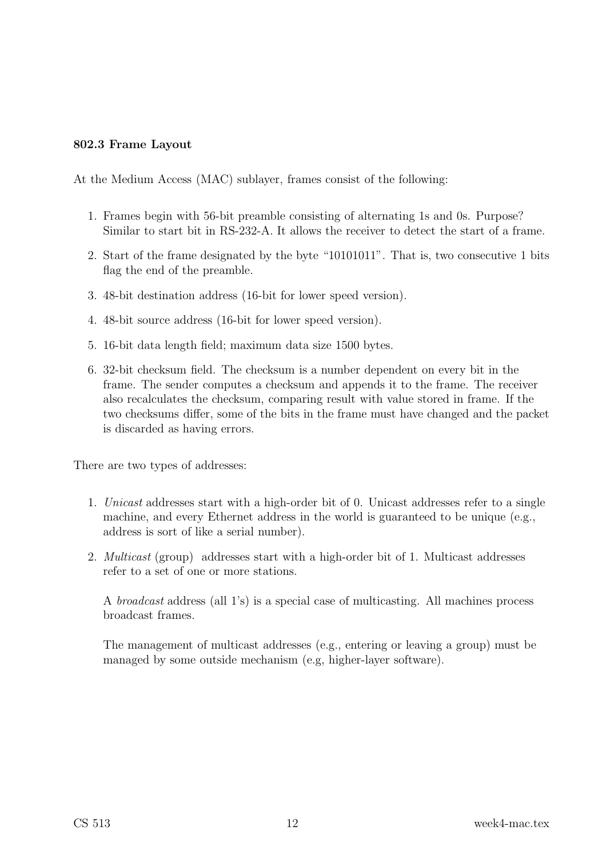#### 802.3 Frame Layout

At the Medium Access (MAC) sublayer, frames consist of the following:

- 1. Frames begin with 56-bit preamble consisting of alternating 1s and 0s. Purpose? Similar to start bit in RS-232-A. It allows the receiver to detect the start of a frame.
- 2. Start of the frame designated by the byte "10101011". That is, two consecutive 1 bits flag the end of the preamble.
- 3. 48-bit destination address (16-bit for lower speed version).
- 4. 48-bit source address (16-bit for lower speed version).
- 5. 16-bit data length field; maximum data size 1500 bytes.
- 6. 32-bit checksum field. The checksum is a number dependent on every bit in the frame. The sender computes a checksum and appends it to the frame. The receiver also recalculates the checksum, comparing result with value stored in frame. If the two checksums differ, some of the bits in the frame must have changed and the packet is discarded as having errors.

There are two types of addresses:

- 1. Unicast addresses start with a high-order bit of 0. Unicast addresses refer to a single machine, and every Ethernet address in the world is guaranteed to be unique (e.g., address is sort of like a serial number).
- 2. Multicast (group) addresses start with a high-order bit of 1. Multicast addresses refer to a set of one or more stations.

A broadcast address (all 1's) is a special case of multicasting. All machines process broadcast frames.

The management of multicast addresses (e.g., entering or leaving a group) must be managed by some outside mechanism (e.g, higher-layer software).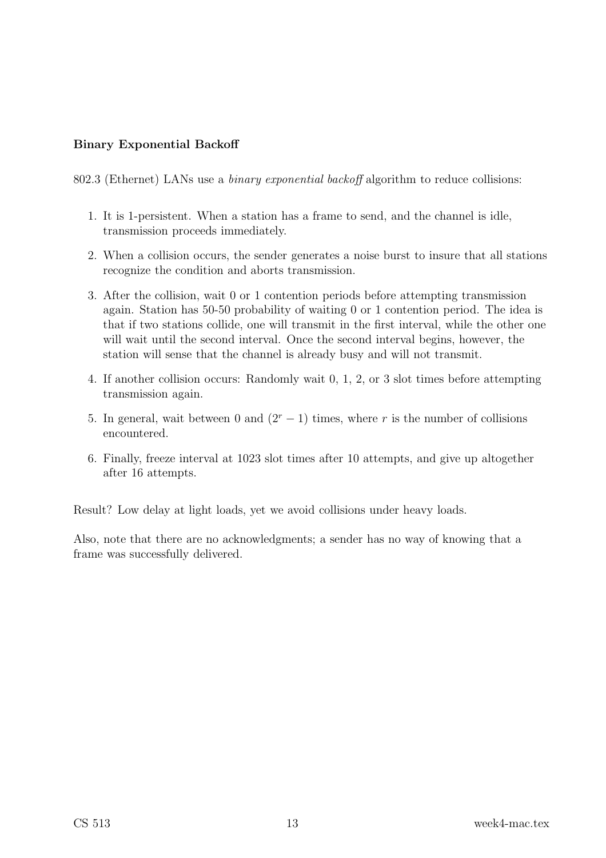#### Binary Exponential Backoff

802.3 (Ethernet) LANs use a *binary exponential backoff* algorithm to reduce collisions:

- 1. It is 1-persistent. When a station has a frame to send, and the channel is idle, transmission proceeds immediately.
- 2. When a collision occurs, the sender generates a noise burst to insure that all stations recognize the condition and aborts transmission.
- 3. After the collision, wait 0 or 1 contention periods before attempting transmission again. Station has 50-50 probability of waiting 0 or 1 contention period. The idea is that if two stations collide, one will transmit in the first interval, while the other one will wait until the second interval. Once the second interval begins, however, the station will sense that the channel is already busy and will not transmit.
- 4. If another collision occurs: Randomly wait 0, 1, 2, or 3 slot times before attempting transmission again.
- 5. In general, wait between 0 and  $(2<sup>r</sup> 1)$  times, where r is the number of collisions encountered.
- 6. Finally, freeze interval at 1023 slot times after 10 attempts, and give up altogether after 16 attempts.

Result? Low delay at light loads, yet we avoid collisions under heavy loads.

Also, note that there are no acknowledgments; a sender has no way of knowing that a frame was successfully delivered.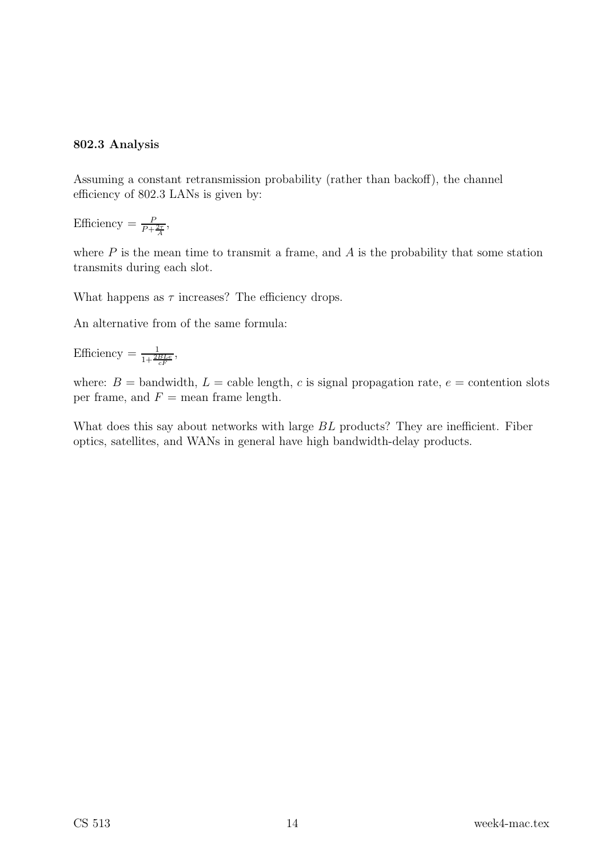#### 802.3 Analysis

Assuming a constant retransmission probability (rather than backoff), the channel efficiency of 802.3 LANs is given by:

Efficiency  $=$   $\frac{P}{P+}$  $\frac{P}{P + \frac{2\tau}{A}},$ 

where  $P$  is the mean time to transmit a frame, and  $A$  is the probability that some station transmits during each slot.

What happens as  $\tau$  increases? The efficiency drops.

An alternative from of the same formula:

Efficiency  $=\frac{1}{1+\frac{2BLe}{cF}},$ 

where:  $B =$  bandwidth,  $L =$  cable length, c is signal propagation rate,  $e =$  contention slots per frame, and  $F =$  mean frame length.

What does this say about networks with large  $BL$  products? They are inefficient. Fiber optics, satellites, and WANs in general have high bandwidth-delay products.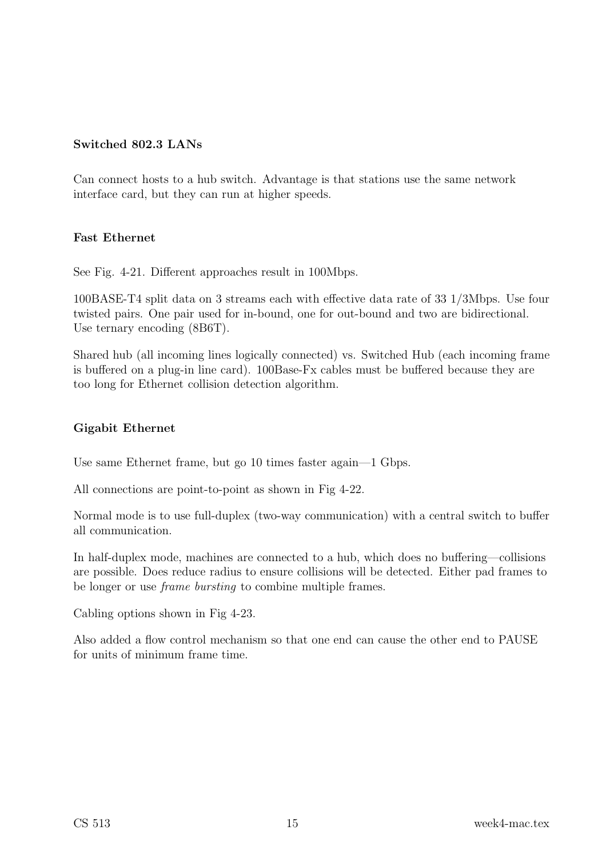#### Switched 802.3 LANs

Can connect hosts to a hub switch. Advantage is that stations use the same network interface card, but they can run at higher speeds.

#### Fast Ethernet

See Fig. 4-21. Different approaches result in 100Mbps.

100BASE-T4 split data on 3 streams each with effective data rate of 33 1/3Mbps. Use four twisted pairs. One pair used for in-bound, one for out-bound and two are bidirectional. Use ternary encoding  $(8B6T)$ .

Shared hub (all incoming lines logically connected) vs. Switched Hub (each incoming frame is buffered on a plug-in line card). 100Base-Fx cables must be buffered because they are too long for Ethernet collision detection algorithm.

#### Gigabit Ethernet

Use same Ethernet frame, but go 10 times faster again—1 Gbps.

All connections are point-to-point as shown in Fig 4-22.

Normal mode is to use full-duplex (two-way communication) with a central switch to buffer all communication.

In half-duplex mode, machines are connected to a hub, which does no buffering—collisions are possible. Does reduce radius to ensure collisions will be detected. Either pad frames to be longer or use frame bursting to combine multiple frames.

Cabling options shown in Fig 4-23.

Also added a flow control mechanism so that one end can cause the other end to PAUSE for units of minimum frame time.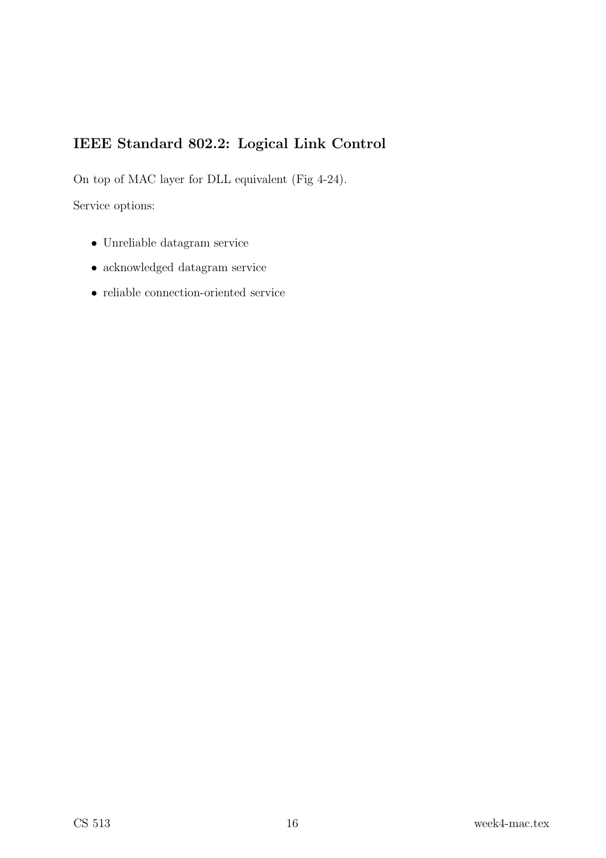# IEEE Standard 802.2: Logical Link Control

On top of MAC layer for DLL equivalent (Fig 4-24).

Service options:

- Unreliable datagram service
- acknowledged datagram service
- reliable connection-oriented service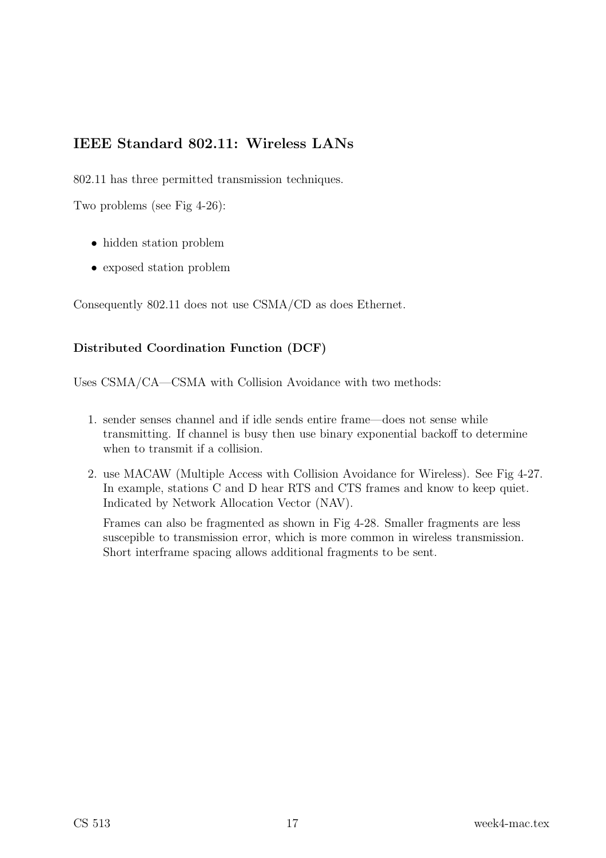### IEEE Standard 802.11: Wireless LANs

802.11 has three permitted transmission techniques.

Two problems (see Fig 4-26):

- hidden station problem
- exposed station problem

Consequently 802.11 does not use CSMA/CD as does Ethernet.

#### Distributed Coordination Function (DCF)

Uses CSMA/CA—CSMA with Collision Avoidance with two methods:

- 1. sender senses channel and if idle sends entire frame—does not sense while transmitting. If channel is busy then use binary exponential backoff to determine when to transmit if a collision.
- 2. use MACAW (Multiple Access with Collision Avoidance for Wireless). See Fig 4-27. In example, stations C and D hear RTS and CTS frames and know to keep quiet. Indicated by Network Allocation Vector (NAV).

Frames can also be fragmented as shown in Fig 4-28. Smaller fragments are less suscepible to transmission error, which is more common in wireless transmission. Short interframe spacing allows additional fragments to be sent.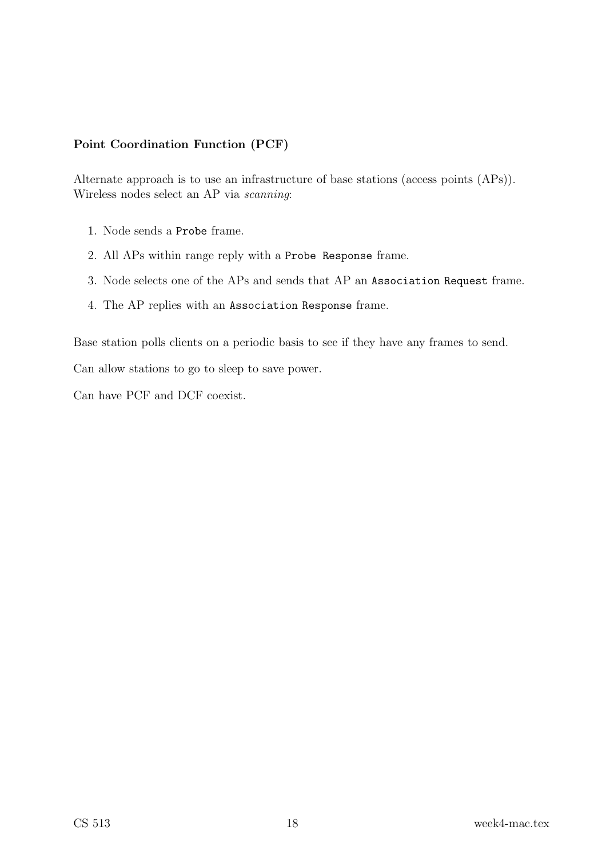#### Point Coordination Function (PCF)

Alternate approach is to use an infrastructure of base stations (access points (APs)). Wireless nodes select an AP via scanning:

- 1. Node sends a Probe frame.
- 2. All APs within range reply with a Probe Response frame.
- 3. Node selects one of the APs and sends that AP an Association Request frame.
- 4. The AP replies with an Association Response frame.

Base station polls clients on a periodic basis to see if they have any frames to send.

Can allow stations to go to sleep to save power.

Can have PCF and DCF coexist.